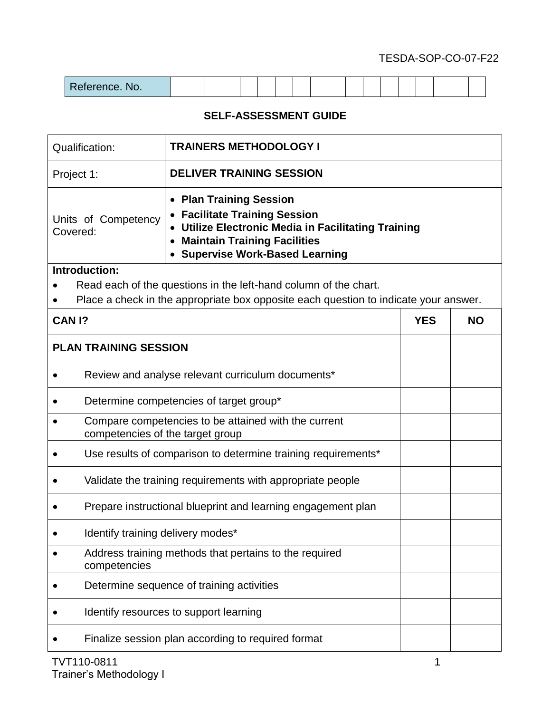## TESDA-SOP-CO-07-F22

## **SELF-ASSESSMENT GUIDE**

| <b>Qualification:</b>                                                                                                                                                                                                                     | <b>TRAINERS METHODOLOGY I</b>                                                            |            |           |
|-------------------------------------------------------------------------------------------------------------------------------------------------------------------------------------------------------------------------------------------|------------------------------------------------------------------------------------------|------------|-----------|
| Project 1:                                                                                                                                                                                                                                | <b>DELIVER TRAINING SESSION</b>                                                          |            |           |
| <b>Plan Training Session</b><br><b>Facilitate Training Session</b><br>Units of Competency<br>Utilize Electronic Media in Facilitating Training<br>Covered:<br><b>Maintain Training Facilities</b><br><b>Supervise Work-Based Learning</b> |                                                                                          |            |           |
| Introduction:                                                                                                                                                                                                                             |                                                                                          |            |           |
|                                                                                                                                                                                                                                           | Read each of the questions in the left-hand column of the chart.                         |            |           |
|                                                                                                                                                                                                                                           | Place a check in the appropriate box opposite each question to indicate your answer.     |            |           |
| CAN <sub>1?</sub>                                                                                                                                                                                                                         |                                                                                          | <b>YES</b> | <b>NO</b> |
| <b>PLAN TRAINING SESSION</b>                                                                                                                                                                                                              |                                                                                          |            |           |
|                                                                                                                                                                                                                                           | Review and analyse relevant curriculum documents*                                        |            |           |
|                                                                                                                                                                                                                                           | Determine competencies of target group*                                                  |            |           |
|                                                                                                                                                                                                                                           | Compare competencies to be attained with the current<br>competencies of the target group |            |           |
|                                                                                                                                                                                                                                           | Use results of comparison to determine training requirements*                            |            |           |
|                                                                                                                                                                                                                                           | Validate the training requirements with appropriate people                               |            |           |
|                                                                                                                                                                                                                                           | Prepare instructional blueprint and learning engagement plan                             |            |           |
|                                                                                                                                                                                                                                           | Identify training delivery modes*                                                        |            |           |
| competencies                                                                                                                                                                                                                              | Address training methods that pertains to the required                                   |            |           |
|                                                                                                                                                                                                                                           | Determine sequence of training activities                                                |            |           |
|                                                                                                                                                                                                                                           | Identify resources to support learning                                                   |            |           |
|                                                                                                                                                                                                                                           | Finalize session plan according to required format                                       |            |           |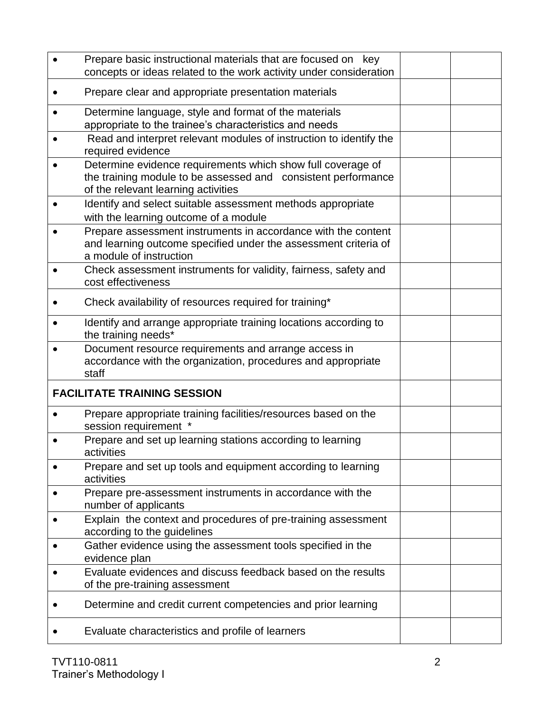| Prepare basic instructional materials that are focused on key<br>concepts or ideas related to the work activity under consideration                                 |  |
|---------------------------------------------------------------------------------------------------------------------------------------------------------------------|--|
| Prepare clear and appropriate presentation materials                                                                                                                |  |
| Determine language, style and format of the materials<br>appropriate to the trainee's characteristics and needs                                                     |  |
| Read and interpret relevant modules of instruction to identify the<br>required evidence                                                                             |  |
| Determine evidence requirements which show full coverage of<br>the training module to be assessed and consistent performance<br>of the relevant learning activities |  |
| Identify and select suitable assessment methods appropriate<br>with the learning outcome of a module                                                                |  |
| Prepare assessment instruments in accordance with the content<br>and learning outcome specified under the assessment criteria of<br>a module of instruction         |  |
| Check assessment instruments for validity, fairness, safety and<br>cost effectiveness                                                                               |  |
| Check availability of resources required for training*                                                                                                              |  |
| Identify and arrange appropriate training locations according to<br>the training needs*                                                                             |  |
| Document resource requirements and arrange access in<br>accordance with the organization, procedures and appropriate<br>staff                                       |  |
| <b>FACILITATE TRAINING SESSION</b>                                                                                                                                  |  |
| Prepare appropriate training facilities/resources based on the<br>session requirement                                                                               |  |
| Prepare and set up learning stations according to learning<br>activities                                                                                            |  |
| Prepare and set up tools and equipment according to learning<br>activities                                                                                          |  |
| Prepare pre-assessment instruments in accordance with the<br>number of applicants                                                                                   |  |
| Explain the context and procedures of pre-training assessment<br>according to the guidelines                                                                        |  |
| Gather evidence using the assessment tools specified in the<br>evidence plan                                                                                        |  |
| Evaluate evidences and discuss feedback based on the results<br>of the pre-training assessment                                                                      |  |
| Determine and credit current competencies and prior learning                                                                                                        |  |
| Evaluate characteristics and profile of learners                                                                                                                    |  |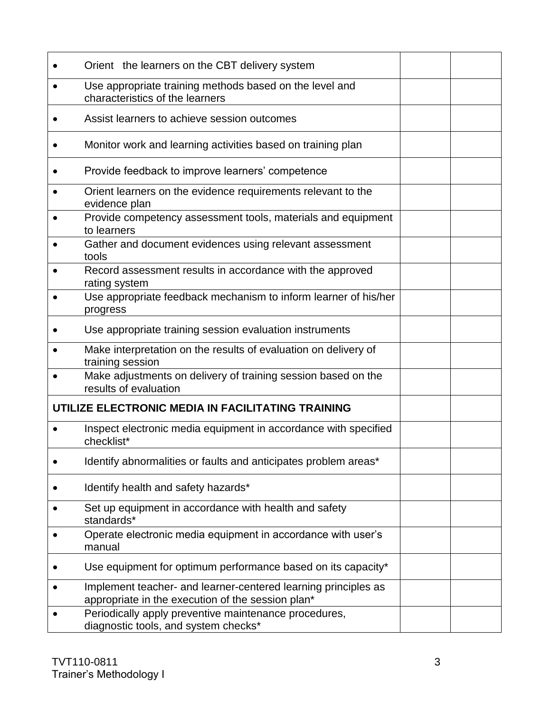| Orient the learners on the CBT delivery system                                                                      |  |
|---------------------------------------------------------------------------------------------------------------------|--|
| Use appropriate training methods based on the level and<br>characteristics of the learners                          |  |
| Assist learners to achieve session outcomes                                                                         |  |
| Monitor work and learning activities based on training plan                                                         |  |
| Provide feedback to improve learners' competence                                                                    |  |
| Orient learners on the evidence requirements relevant to the<br>evidence plan                                       |  |
| Provide competency assessment tools, materials and equipment<br>to learners                                         |  |
| Gather and document evidences using relevant assessment<br>tools                                                    |  |
| Record assessment results in accordance with the approved<br>rating system                                          |  |
| Use appropriate feedback mechanism to inform learner of his/her<br>progress                                         |  |
| Use appropriate training session evaluation instruments                                                             |  |
| Make interpretation on the results of evaluation on delivery of<br>training session                                 |  |
| Make adjustments on delivery of training session based on the<br>results of evaluation                              |  |
| UTILIZE ELECTRONIC MEDIA IN FACILITATING TRAINING                                                                   |  |
| Inspect electronic media equipment in accordance with specified<br>checklist*                                       |  |
| Identify abnormalities or faults and anticipates problem areas*                                                     |  |
| Identify health and safety hazards*                                                                                 |  |
| Set up equipment in accordance with health and safety<br>standards*                                                 |  |
| Operate electronic media equipment in accordance with user's<br>manual                                              |  |
| Use equipment for optimum performance based on its capacity*                                                        |  |
| Implement teacher- and learner-centered learning principles as<br>appropriate in the execution of the session plan* |  |
| Periodically apply preventive maintenance procedures,<br>diagnostic tools, and system checks*                       |  |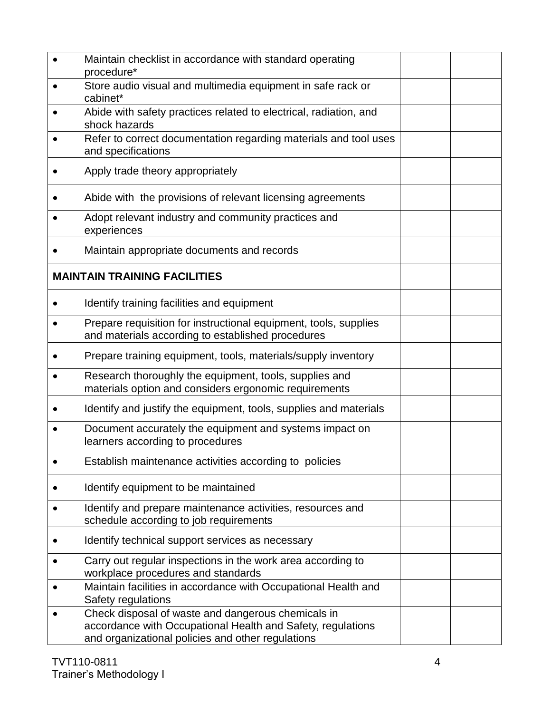| Maintain checklist in accordance with standard operating<br>procedure*                                                                                                 |  |
|------------------------------------------------------------------------------------------------------------------------------------------------------------------------|--|
| Store audio visual and multimedia equipment in safe rack or<br>cabinet*                                                                                                |  |
| Abide with safety practices related to electrical, radiation, and<br>shock hazards                                                                                     |  |
| Refer to correct documentation regarding materials and tool uses<br>and specifications                                                                                 |  |
| Apply trade theory appropriately                                                                                                                                       |  |
| Abide with the provisions of relevant licensing agreements                                                                                                             |  |
| Adopt relevant industry and community practices and<br>experiences                                                                                                     |  |
| Maintain appropriate documents and records                                                                                                                             |  |
| <b>MAINTAIN TRAINING FACILITIES</b>                                                                                                                                    |  |
| Identify training facilities and equipment                                                                                                                             |  |
| Prepare requisition for instructional equipment, tools, supplies<br>and materials according to established procedures                                                  |  |
| Prepare training equipment, tools, materials/supply inventory                                                                                                          |  |
| Research thoroughly the equipment, tools, supplies and<br>materials option and considers ergonomic requirements                                                        |  |
| Identify and justify the equipment, tools, supplies and materials                                                                                                      |  |
| Document accurately the equipment and systems impact on<br>learners according to procedures                                                                            |  |
| Establish maintenance activities according to policies                                                                                                                 |  |
| Identify equipment to be maintained                                                                                                                                    |  |
| Identify and prepare maintenance activities, resources and<br>schedule according to job requirements                                                                   |  |
| Identify technical support services as necessary                                                                                                                       |  |
| Carry out regular inspections in the work area according to<br>workplace procedures and standards                                                                      |  |
| Maintain facilities in accordance with Occupational Health and<br>Safety regulations                                                                                   |  |
| Check disposal of waste and dangerous chemicals in<br>accordance with Occupational Health and Safety, regulations<br>and organizational policies and other regulations |  |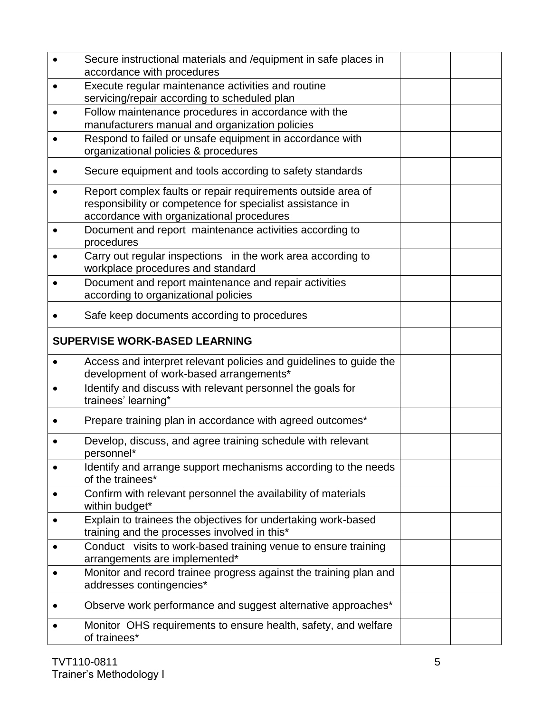| Secure instructional materials and / equipment in safe places in<br>accordance with procedures                                                                         |  |
|------------------------------------------------------------------------------------------------------------------------------------------------------------------------|--|
| Execute regular maintenance activities and routine<br>servicing/repair according to scheduled plan                                                                     |  |
| Follow maintenance procedures in accordance with the<br>manufacturers manual and organization policies                                                                 |  |
| Respond to failed or unsafe equipment in accordance with<br>organizational policies & procedures                                                                       |  |
| Secure equipment and tools according to safety standards                                                                                                               |  |
| Report complex faults or repair requirements outside area of<br>responsibility or competence for specialist assistance in<br>accordance with organizational procedures |  |
| Document and report maintenance activities according to<br>procedures                                                                                                  |  |
| Carry out regular inspections in the work area according to<br>workplace procedures and standard                                                                       |  |
| Document and report maintenance and repair activities<br>according to organizational policies                                                                          |  |
| Safe keep documents according to procedures                                                                                                                            |  |
| <b>SUPERVISE WORK-BASED LEARNING</b>                                                                                                                                   |  |
| Access and interpret relevant policies and guidelines to guide the<br>development of work-based arrangements*                                                          |  |
| Identify and discuss with relevant personnel the goals for<br>trainees' learning*                                                                                      |  |
| Prepare training plan in accordance with agreed outcomes*                                                                                                              |  |
| Develop, discuss, and agree training schedule with relevant<br>personnel*                                                                                              |  |
| Identify and arrange support mechanisms according to the needs<br>of the trainees*                                                                                     |  |
| Confirm with relevant personnel the availability of materials<br>within budget*                                                                                        |  |
| Explain to trainees the objectives for undertaking work-based<br>training and the processes involved in this*                                                          |  |
| Conduct visits to work-based training venue to ensure training<br>arrangements are implemented*                                                                        |  |
| Monitor and record trainee progress against the training plan and<br>addresses contingencies*                                                                          |  |
| Observe work performance and suggest alternative approaches*                                                                                                           |  |
| Monitor OHS requirements to ensure health, safety, and welfare<br>of trainees*                                                                                         |  |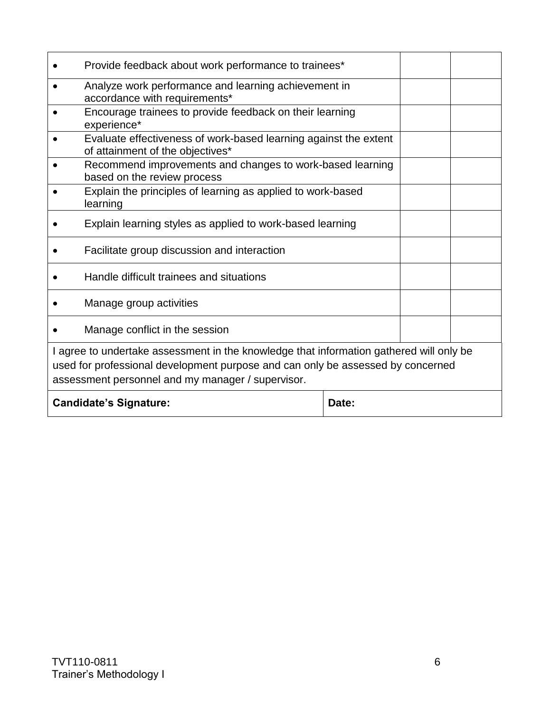|                                                                                                                                                                                                                                 | Provide feedback about work performance to trainees*                                                 |  |  |  |
|---------------------------------------------------------------------------------------------------------------------------------------------------------------------------------------------------------------------------------|------------------------------------------------------------------------------------------------------|--|--|--|
| $\bullet$                                                                                                                                                                                                                       | Analyze work performance and learning achievement in<br>accordance with requirements*                |  |  |  |
|                                                                                                                                                                                                                                 | Encourage trainees to provide feedback on their learning<br>experience*                              |  |  |  |
|                                                                                                                                                                                                                                 | Evaluate effectiveness of work-based learning against the extent<br>of attainment of the objectives* |  |  |  |
|                                                                                                                                                                                                                                 | Recommend improvements and changes to work-based learning<br>based on the review process             |  |  |  |
|                                                                                                                                                                                                                                 | Explain the principles of learning as applied to work-based<br>learning                              |  |  |  |
|                                                                                                                                                                                                                                 | Explain learning styles as applied to work-based learning                                            |  |  |  |
|                                                                                                                                                                                                                                 | Facilitate group discussion and interaction                                                          |  |  |  |
|                                                                                                                                                                                                                                 | Handle difficult trainees and situations                                                             |  |  |  |
|                                                                                                                                                                                                                                 | Manage group activities                                                                              |  |  |  |
|                                                                                                                                                                                                                                 | Manage conflict in the session                                                                       |  |  |  |
| I agree to undertake assessment in the knowledge that information gathered will only be<br>used for professional development purpose and can only be assessed by concerned<br>assessment personnel and my manager / supervisor. |                                                                                                      |  |  |  |
| <b>Candidate's Signature:</b><br>Date:                                                                                                                                                                                          |                                                                                                      |  |  |  |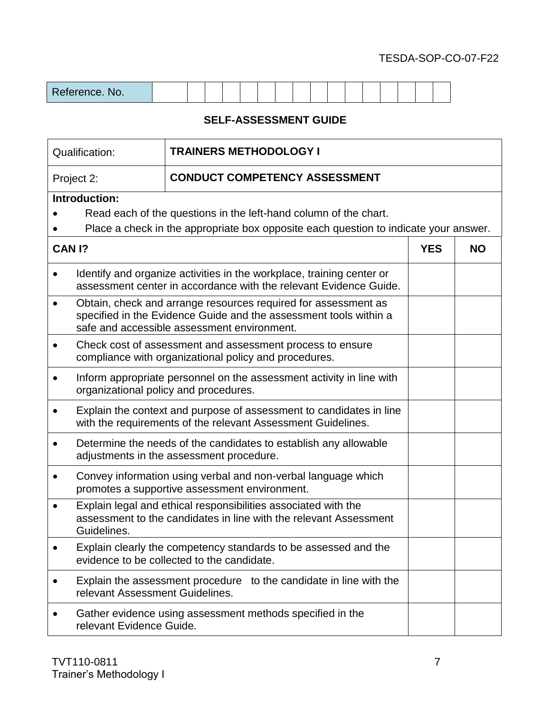## TESDA-SOP-CO-07-F22

## **SELF-ASSESSMENT GUIDE**

|                    | <b>TRAINERS METHODOLOGY I</b><br>Qualification:                                                                                     |                                                                                                                                                                                    |            |           |
|--------------------|-------------------------------------------------------------------------------------------------------------------------------------|------------------------------------------------------------------------------------------------------------------------------------------------------------------------------------|------------|-----------|
|                    | <b>CONDUCT COMPETENCY ASSESSMENT</b><br>Project 2:                                                                                  |                                                                                                                                                                                    |            |           |
|                    | Introduction:                                                                                                                       |                                                                                                                                                                                    |            |           |
|                    |                                                                                                                                     | Read each of the questions in the left-hand column of the chart.<br>Place a check in the appropriate box opposite each question to indicate your answer.                           |            |           |
| CAN <sub>1</sub> ? |                                                                                                                                     |                                                                                                                                                                                    | <b>YES</b> | <b>NO</b> |
|                    |                                                                                                                                     | Identify and organize activities in the workplace, training center or<br>assessment center in accordance with the relevant Evidence Guide.                                         |            |           |
|                    |                                                                                                                                     | Obtain, check and arrange resources required for assessment as<br>specified in the Evidence Guide and the assessment tools within a<br>safe and accessible assessment environment. |            |           |
|                    | Check cost of assessment and assessment process to ensure<br>compliance with organizational policy and procedures.                  |                                                                                                                                                                                    |            |           |
|                    | Inform appropriate personnel on the assessment activity in line with<br>organizational policy and procedures.                       |                                                                                                                                                                                    |            |           |
|                    | Explain the context and purpose of assessment to candidates in line<br>with the requirements of the relevant Assessment Guidelines. |                                                                                                                                                                                    |            |           |
|                    | Determine the needs of the candidates to establish any allowable<br>adjustments in the assessment procedure.                        |                                                                                                                                                                                    |            |           |
|                    |                                                                                                                                     | Convey information using verbal and non-verbal language which<br>promotes a supportive assessment environment.                                                                     |            |           |
|                    | Guidelines.                                                                                                                         | Explain legal and ethical responsibilities associated with the<br>assessment to the candidates in line with the relevant Assessment                                                |            |           |
|                    |                                                                                                                                     | Explain clearly the competency standards to be assessed and the<br>evidence to be collected to the candidate.                                                                      |            |           |
|                    | relevant Assessment Guidelines.                                                                                                     | Explain the assessment procedure to the candidate in line with the                                                                                                                 |            |           |
|                    | relevant Evidence Guide.                                                                                                            | Gather evidence using assessment methods specified in the                                                                                                                          |            |           |